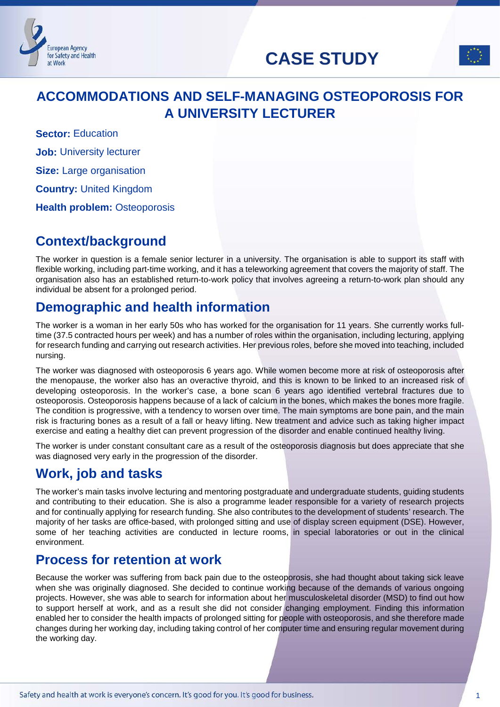# **CASE STUDY**



# **ACCOMMODATIONS AND SELF-MANAGING OSTEOPOROSIS FOR A UNIVERSITY LECTURER**

**Sector: Education Job:** University lecturer **Size:** Large organisation **Country:** United Kingdom **Health problem: Osteoporosis** 

**European Agency** for Safety and Health

at Work

### **Context/background**

The worker in question is a female senior lecturer in a university. The organisation is able to support its staff with flexible working, including part-time working, and it has a teleworking agreement that covers the majority of staff. The organisation also has an established return-to-work policy that involves agreeing a return-to-work plan should any individual be absent for a prolonged period.

# **Demographic and health information**

The worker is a woman in her early 50s who has worked for the organisation for 11 years. She currently works fulltime (37.5 contracted hours per week) and has a number of roles within the organisation, including lecturing, applying for research funding and carrying out research activities. Her previous roles, before she moved into teaching, included nursing.

The worker was diagnosed with osteoporosis 6 years ago. While women become more at risk of osteoporosis after the menopause, the worker also has an overactive thyroid, and this is known to be linked to an increased risk of developing osteoporosis. In the worker's case, a bone scan 6 years ago identified vertebral fractures due to osteoporosis. Osteoporosis happens because of a lack of calcium in the bones, which makes the bones more fragile. The condition is progressive, with a tendency to worsen over time. The main symptoms are bone pain, and the main risk is fracturing bones as a result of a fall or heavy lifting. New treatment and advice such as taking higher impact exercise and eating a healthy diet can prevent progression of the disorder and enable continued healthy living.

The worker is under constant consultant care as a result of the osteoporosis diagnosis but does appreciate that she was diagnosed very early in the progression of the disorder.

# **Work, job and tasks**

The worker's main tasks involve lecturing and mentoring postgraduate and undergraduate students, guiding students and contributing to their education. She is also a programme leader responsible for a variety of research projects and for continually applying for research funding. She also contributes to the development of students' research. The majority of her tasks are office-based, with prolonged sitting and use of display screen equipment (DSE). However, some of her teaching activities are conducted in lecture rooms, in special laboratories or out in the clinical environment.

# **Process for retention at work**

Because the worker was suffering from back pain due to the osteoporosis, she had thought about taking sick leave when she was originally diagnosed. She decided to continue working because of the demands of various ongoing projects. However, she was able to search for information about her musculoskeletal disorder (MSD) to find out how to support herself at work, and as a result she did not consider changing employment. Finding this information enabled her to consider the health impacts of prolonged sitting for people with osteoporosis, and she therefore made changes during her working day, including taking control of her computer time and ensuring regular movement during the working day.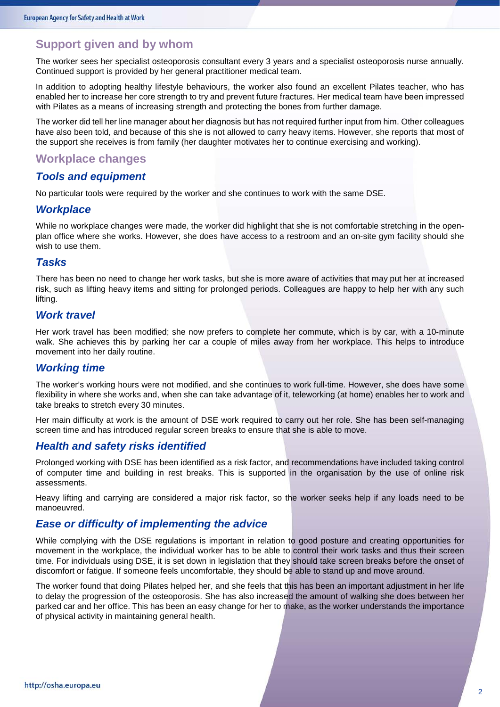### **Support given and by whom**

The worker sees her specialist osteoporosis consultant every 3 years and a specialist osteoporosis nurse annually. Continued support is provided by her general practitioner medical team.

In addition to adopting healthy lifestyle behaviours, the worker also found an excellent Pilates teacher, who has enabled her to increase her core strength to try and prevent future fractures. Her medical team have been impressed with Pilates as a means of increasing strength and protecting the bones from further damage.

The worker did tell her line manager about her diagnosis but has not required further input from him. Other colleagues have also been told, and because of this she is not allowed to carry heavy items. However, she reports that most of the support she receives is from family (her daughter motivates her to continue exercising and working).

### **Workplace changes**

#### *Tools and equipment*

No particular tools were required by the worker and she continues to work with the same DSE.

#### *Workplace*

While no workplace changes were made, the worker did highlight that she is not comfortable stretching in the openplan office where she works. However, she does have access to a restroom and an on-site gym facility should she wish to use them.

#### *Tasks*

There has been no need to change her work tasks, but she is more aware of activities that may put her at increased risk, such as lifting heavy items and sitting for prolonged periods. Colleagues are happy to help her with any such lifting.

#### *Work travel*

Her work travel has been modified; she now prefers to complete her commute, which is by car, with a 10-minute walk. She achieves this by parking her car a couple of miles away from her workplace. This helps to introduce movement into her daily routine.

#### *Working time*

The worker's working hours were not modified, and she continues to work full-time. However, she does have some flexibility in where she works and, when she can take advantage of it, teleworking (at home) enables her to work and take breaks to stretch every 30 minutes.

Her main difficulty at work is the amount of DSE work required to carry out her role. She has been self-managing screen time and has introduced regular screen breaks to ensure that she is able to move.

#### *Health and safety risks identified*

Prolonged working with DSE has been identified as a risk factor, and recommendations have included taking control of computer time and building in rest breaks. This is supported in the organisation by the use of online risk assessments.

Heavy lifting and carrying are considered a major risk factor, so the worker seeks help if any loads need to be manoeuvred.

#### *Ease or difficulty of implementing the advice*

While complying with the DSE regulations is important in relation to good posture and creating opportunities for movement in the workplace, the individual worker has to be able to control their work tasks and thus their screen time. For individuals using DSE, it is set down in legislation that they should take screen breaks before the onset of discomfort or fatigue. If someone feels uncomfortable, they should be able to stand up and move around.

The worker found that doing Pilates helped her, and she feels that this has been an important adjustment in her life to delay the progression of the osteoporosis. She has also increased the amount of walking she does between her parked car and her office. This has been an easy change for her to make, as the worker understands the importance of physical activity in maintaining general health.